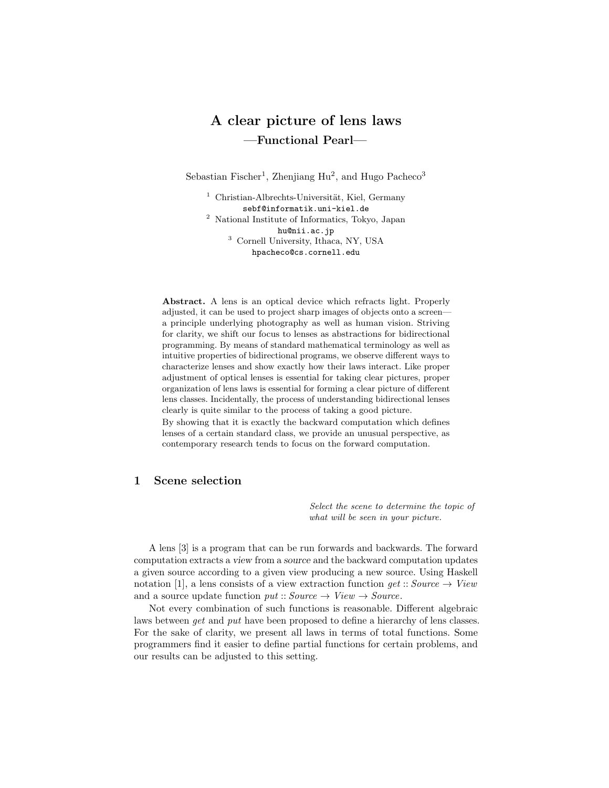# A clear picture of lens laws —Functional Pearl—

Sebastian Fischer<sup>1</sup>, Zhenjiang Hu<sup>2</sup>, and Hugo Pacheco<sup>3</sup>

 $1$  Christian-Albrechts-Universität, Kiel, Germany sebf@informatik.uni-kiel.de <sup>2</sup> National Institute of Informatics, Tokyo, Japan hu@nii.ac.jp <sup>3</sup> Cornell University, Ithaca, NY, USA hpacheco@cs.cornell.edu

Abstract. A lens is an optical device which refracts light. Properly adjusted, it can be used to project sharp images of objects onto a screen a principle underlying photography as well as human vision. Striving for clarity, we shift our focus to lenses as abstractions for bidirectional programming. By means of standard mathematical terminology as well as intuitive properties of bidirectional programs, we observe different ways to characterize lenses and show exactly how their laws interact. Like proper adjustment of optical lenses is essential for taking clear pictures, proper organization of lens laws is essential for forming a clear picture of different lens classes. Incidentally, the process of understanding bidirectional lenses clearly is quite similar to the process of taking a good picture.

By showing that it is exactly the backward computation which defines lenses of a certain standard class, we provide an unusual perspective, as contemporary research tends to focus on the forward computation.

# 1 Scene selection

Select the scene to determine the topic of what will be seen in your picture.

A lens [\[3\]](#page-8-0) is a program that can be run forwards and backwards. The forward computation extracts a view from a source and the backward computation updates a given source according to a given view producing a new source. Using Haskell notation [\[1\]](#page-8-1), a lens consists of a view extraction function get :: Source  $\rightarrow$  View and a source update function  $put::Source \rightarrow View \rightarrow Source.$ 

Not every combination of such functions is reasonable. Different algebraic laws between get and put have been proposed to define a hierarchy of lens classes. For the sake of clarity, we present all laws in terms of total functions. Some programmers find it easier to define partial functions for certain problems, and our results can be adjusted to this setting.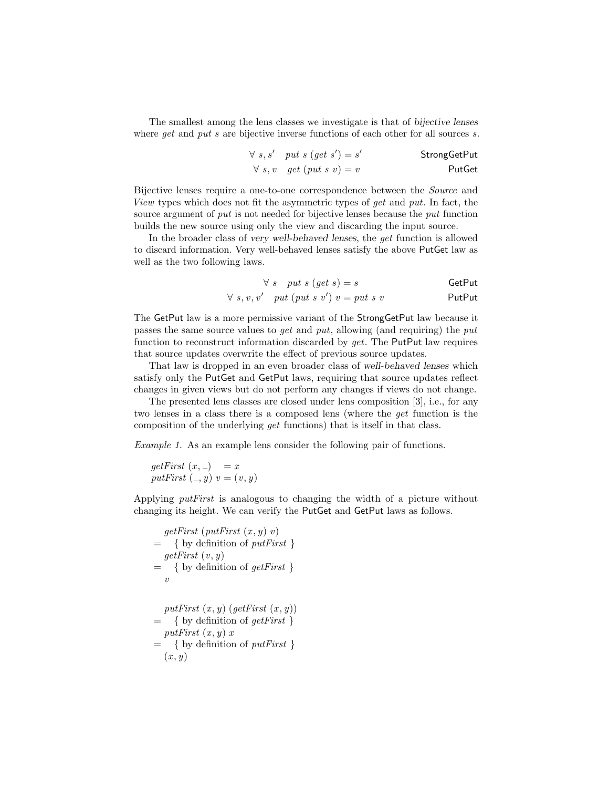The smallest among the lens classes we investigate is that of bijective lenses where get and put s are bijective inverse functions of each other for all sources  $s$ .

<span id="page-1-2"></span><span id="page-1-0"></span>
$$
\forall s, s' \quad put \ s \ (get \ s') = s' \qquad \qquad \text{StrongGetPut}
$$
\n
$$
\forall s, v \quad get \ (put \ s \ v) = v \qquad \qquad \text{PutGet}
$$

Bijective lenses require a one-to-one correspondence between the Source and View types which does not fit the asymmetric types of get and put. In fact, the source argument of put is not needed for bijective lenses because the put function builds the new source using only the view and discarding the input source.

In the broader class of very well-behaved lenses, the get function is allowed to discard information. Very well-behaved lenses satisfy the above [PutGet](#page-1-0) law as well as the two following laws.

<span id="page-1-3"></span><span id="page-1-1"></span>
$$
\forall s \quad put \ s \ (get \ s) = s
$$
 **GetPut**

$$
\forall s, v, v' \quad put \ (put \ s \ v') \ v = put \ s \ v
$$
PutPut

The [GetPut](#page-1-1) law is a more permissive variant of the [StrongGetPut](#page-1-2) law because it passes the same source values to get and put, allowing (and requiring) the put function to reconstruct information discarded by *get*. The [PutPut](#page-1-3) law requires that source updates overwrite the effect of previous source updates.

That law is dropped in an even broader class of well-behaved lenses which satisfy only the [PutGet](#page-1-0) and [GetPut](#page-1-1) laws, requiring that source updates reflect changes in given views but do not perform any changes if views do not change.

The presented lens classes are closed under lens composition [\[3\]](#page-8-0), i.e., for any two lenses in a class there is a composed lens (where the get function is the composition of the underlying get functions) that is itself in that class.

<span id="page-1-4"></span>Example 1. As an example lens consider the following pair of functions.

 $getFirst (x, \_) = x$ putFirst  $\left(\frac{\cdot}{\cdot}, y\right)$   $v = (v, y)$ 

Applying putFirst is analogous to changing the width of a picture without changing its height. We can verify the [PutGet](#page-1-0) and [GetPut](#page-1-1) laws as follows.

 $getFirst$  (putFirst  $(x, y)$  v)  $=$  { by definition of *putFirst* }  $getFirst(v, y)$  $= \{$  by definition of getFirst  $\}$  $\eta$ putFirst  $(x, y)$  (getFirst  $(x, y)$ )  $= \{ by definition of getFirst \}$ putFirst  $(x, y)$  x  $=$  { by definition of  $putFirst$ }  $(x, y)$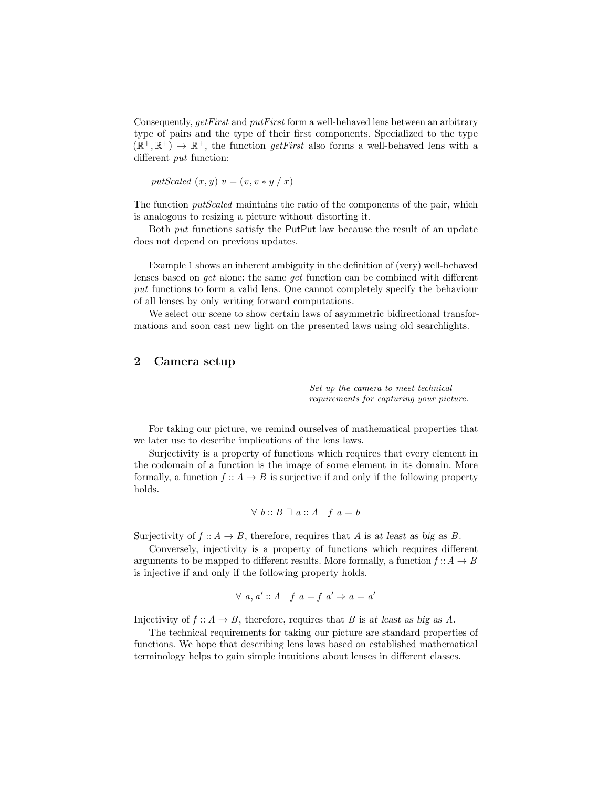Consequently, getFirst and putFirst form a well-behaved lens between an arbitrary type of pairs and the type of their first components. Specialized to the type  $(\mathbb{R}^+, \mathbb{R}^+) \to \mathbb{R}^+$ , the function *getFirst* also forms a well-behaved lens with a different *put* function:

putScaled  $(x, y) v = (v, v * y / x)$ 

The function *putScaled* maintains the ratio of the components of the pair, which is analogous to resizing a picture without distorting it.

Both put functions satisfy the [PutPut](#page-1-3) law because the result of an update does not depend on previous updates.

Example [1](#page-1-4) shows an inherent ambiguity in the definition of (very) well-behaved lenses based on get alone: the same get function can be combined with different put functions to form a valid lens. One cannot completely specify the behaviour of all lenses by only writing forward computations.

We select our scene to show certain laws of asymmetric bidirectional transformations and soon cast new light on the presented laws using old searchlights.

## 2 Camera setup

Set up the camera to meet technical requirements for capturing your picture.

For taking our picture, we remind ourselves of mathematical properties that we later use to describe implications of the lens laws.

Surjectivity is a property of functions which requires that every element in the codomain of a function is the image of some element in its domain. More formally, a function  $f :: A \rightarrow B$  is surjective if and only if the following property holds.

$$
\forall b :: B \; \exists \; a :: A \quad f \; a = b
$$

Surjectivity of  $f : A \to B$ , therefore, requires that A is at least as big as B.

Conversely, injectivity is a property of functions which requires different arguments to be mapped to different results. More formally, a function  $f: A \rightarrow B$ is injective if and only if the following property holds.

$$
\forall a, a' :: A \quad f \ a = f \ a' \Rightarrow a = a'
$$

Injectivity of  $f : A \to B$ , therefore, requires that B is at least as big as A.

The technical requirements for taking our picture are standard properties of functions. We hope that describing lens laws based on established mathematical terminology helps to gain simple intuitions about lenses in different classes.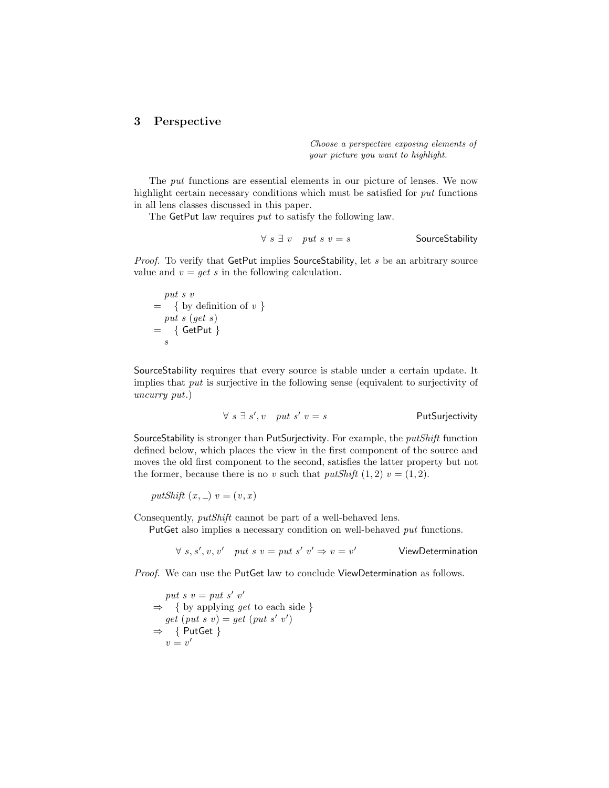#### <span id="page-3-3"></span>3 Perspective

<span id="page-3-0"></span>Choose a perspective exposing elements of your picture you want to highlight.

The put functions are essential elements in our picture of lenses. We now highlight certain necessary conditions which must be satisfied for put functions in all lens classes discussed in this paper.

The [GetPut](#page-1-1) law requires *put* to satisfy the following law.

$$
\forall s \exists v \quad put \ s \ v = s
$$
 **SourceStability**

*Proof.* To verify that [GetPut](#page-1-1) implies [SourceStability](#page-3-0), let s be an arbitrary source value and  $v = get s$  in the following calculation.

put s v  $= \{$  by definition of v  $\}$ put s (get s) = { [GetPut](#page-1-1) } s

[SourceStability](#page-3-0) requires that every source is stable under a certain update. It implies that put is surjective in the following sense (equivalent to surjectivity of uncurry put.)

> <span id="page-3-2"></span><span id="page-3-1"></span> $\forall s \exists s', v \quad put \ s'$ PutSurjectivity

[SourceStability](#page-3-0) is stronger than [PutSurjectivity](#page-3-1). For example, the *putShift* function defined below, which places the view in the first component of the source and moves the old first component to the second, satisfies the latter property but not the former, because there is no v such that  $putShift (1, 2) v = (1, 2)$ .

putShift  $(x, \_) v = (v, x)$ 

Consequently, putShift cannot be part of a well-behaved lens.

[PutGet](#page-1-0) also implies a necessary condition on well-behaved put functions.

 $\forall s, s', v, v' \text{ put } s v = put s' v' \Rightarrow v = v$ <sup>0</sup> ViewDetermination

Proof. We can use the [PutGet](#page-1-0) law to conclude [ViewDetermination](#page-3-2) as follows.

put s  $v = put s' v'$  $\Rightarrow$  { by applying *get* to each side }  $get (put s v) = get (put s' v')$ ⇒ { [PutGet](#page-1-0) }  $v = v'$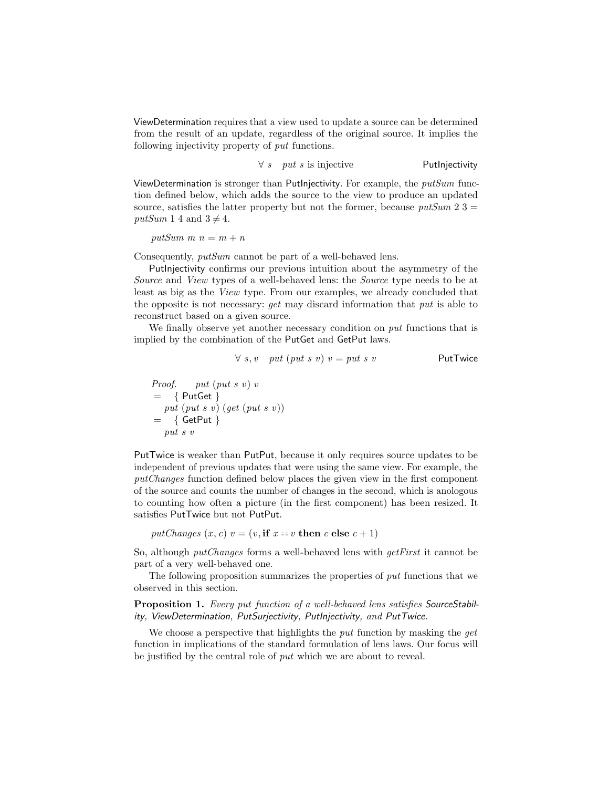[ViewDetermination](#page-3-2) requires that a view used to update a source can be determined from the result of an update, regardless of the original source. It implies the following injectivity property of put functions.

<span id="page-4-0"></span>
$$
\forall s \quad put \ s \ \text{is injective} \qquad \qquad \text{PutInjectivity}
$$

[ViewDetermination](#page-3-2) is stronger than [PutInjectivity](#page-4-0). For example, the putSum function defined below, which adds the source to the view to produce an updated source, satisfies the latter property but not the former, because  $putSum 2 3 =$ putSum 1 4 and  $3 \neq 4$ .

putSum  $m n = m + n$ 

Consequently, putSum cannot be part of a well-behaved lens.

[PutInjectivity](#page-4-0) confirms our previous intuition about the asymmetry of the Source and View types of a well-behaved lens: the Source type needs to be at least as big as the View type. From our examples, we already concluded that the opposite is not necessary: get may discard information that put is able to reconstruct based on a given source.

We finally observe yet another necessary condition on  $put$  functions that is implied by the combination of the [PutGet](#page-1-0) and [GetPut](#page-1-1) laws.

<span id="page-4-1"></span>
$$
\forall s, v \quad put \; (put \; s \; v) \; v = put \; s \; v
$$
 **Put**  $\forall$ 

Proof. put (put s v) v  $= \{ PutGet \}$  $= \{ PutGet \}$  $= \{ PutGet \}$ put (put s v) (get (put s v))  $= \{ \text{GetPut } \}$  $= \{ \text{GetPut } \}$  $= \{ \text{GetPut } \}$ put s v

[PutTwice](#page-4-1) is weaker than [PutPut](#page-1-3), because it only requires source updates to be independent of previous updates that were using the same view. For example, the putChanges function defined below places the given view in the first component of the source and counts the number of changes in the second, which is anologous to counting how often a picture (in the first component) has been resized. It satisfies [PutTwice](#page-4-1) but not [PutPut](#page-1-3).

<span id="page-4-2"></span>putChanges  $(x, c)$   $v = (v, \text{if } x = v \text{ then } c \text{ else } c + 1)$ 

So, although *putChanges* forms a well-behaved lens with *getFirst* it cannot be part of a very well-behaved one.

The following proposition summarizes the properties of put functions that we observed in this section.

Proposition 1. Every put function of a well-behaved lens satisfies [SourceStabil](#page-3-0)[ity](#page-3-0), [ViewDetermination](#page-3-2), [PutSurjectivity](#page-3-1), [PutInjectivity](#page-4-0), and [PutTwice](#page-4-1).

We choose a perspective that highlights the put function by masking the  $qet$ function in implications of the standard formulation of lens laws. Our focus will be justified by the central role of put which we are about to reveal.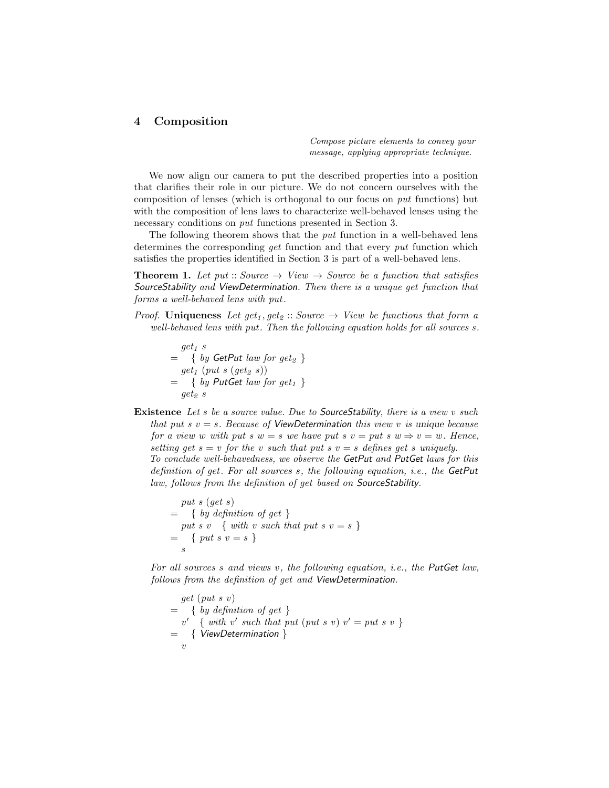## 4 Composition

<span id="page-5-0"></span>Compose picture elements to convey your message, applying appropriate technique.

We now align our camera to put the described properties into a position that clarifies their role in our picture. We do not concern ourselves with the composition of lenses (which is orthogonal to our focus on put functions) but with the composition of lens laws to characterize well-behaved lenses using the necessary conditions on put functions presented in Section [3.](#page-3-3)

The following theorem shows that the put function in a well-behaved lens determines the corresponding *get* function and that every *put* function which satisfies the properties identified in Section [3](#page-3-3) is part of a well-behaved lens.

**Theorem 1.** Let put :: Source  $\rightarrow$  View  $\rightarrow$  Source be a function that satisfies [SourceStability](#page-3-0) and [ViewDetermination](#page-3-2). Then there is a unique get function that forms a well-behaved lens with put .

Proof. Uniqueness Let  $get_1, get_2$ : Source  $\rightarrow$  View be functions that form a well-behaved lens with put. Then the following equation holds for all sources s.

> $get_1$  s  $= \{ by GetPut law for get_2 \}$  $= \{ by GetPut law for get_2 \}$  $= \{ by GetPut law for get_2 \}$  $get_1$  (put s (get<sub>2</sub> s))  $= \{ by PutGet law for get_1 \}$  $= \{ by PutGet law for get_1 \}$  $= \{ by PutGet law for get_1 \}$  $get_2$  s

Existence Let s be a source value. Due to [SourceStability](#page-3-0), there is a view v such that put s  $v = s$ . Because of [ViewDetermination](#page-3-2) this view v is unique because for a view w with put s  $w = s$  we have put s  $v = put s$   $w \Rightarrow v = w$ . Hence, setting get  $s = v$  for the v such that put  $s v = s$  defines get s uniquely. To conclude well-behavedness, we observe the [GetPut](#page-1-1) and [PutGet](#page-1-0) laws for this definition of get. For all sources  $s$ , the following equation, i.e., the [GetPut](#page-1-1) law, follows from the definition of get based on [SourceStability](#page-3-0).

> put s (get s)  $= \{ by definition of get \}$ put s v { with v such that put s  $v = s$  }  $= \{ put s v = s \}$ s

For all sources  $s$  and views  $v$ , the following equation, i.e., the [PutGet](#page-1-0) law, follows from the definition of get and [ViewDetermination](#page-3-2).

get (put s v)  $= \{ by definition of get \}$  $v' \quad \{ \text{ with } v' \text{ such that put } (put s v) v' = put s v \}$ = { [ViewDetermination](#page-3-2) } v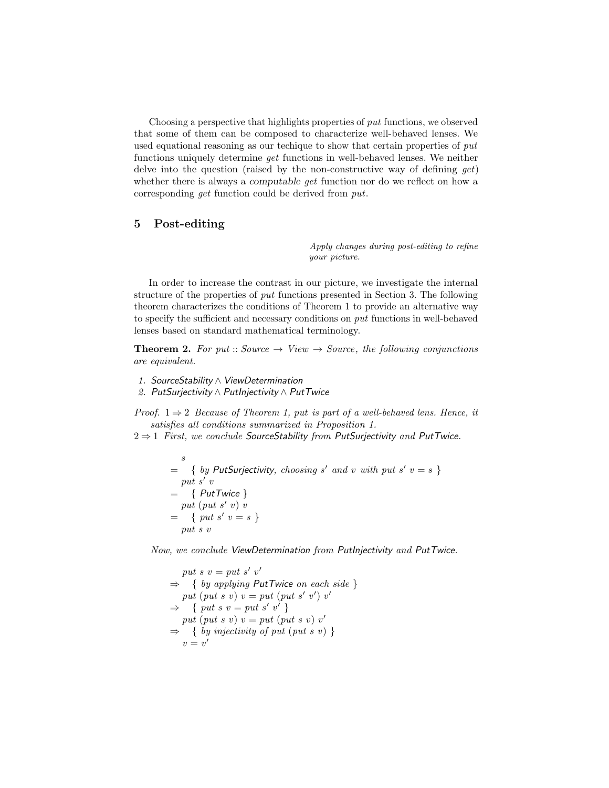Choosing a perspective that highlights properties of put functions, we observed that some of them can be composed to characterize well-behaved lenses. We used equational reasoning as our techique to show that certain properties of put functions uniquely determine get functions in well-behaved lenses. We neither delve into the question (raised by the non-constructive way of defining get) whether there is always a computable get function nor do we reflect on how a corresponding get function could be derived from put.

## 5 Post-editing

<span id="page-6-0"></span>Apply changes during post-editing to refine your picture.

In order to increase the contrast in our picture, we investigate the internal structure of the properties of put functions presented in Section [3.](#page-3-3) The following theorem characterizes the conditions of Theorem [1](#page-5-0) to provide an alternative way to specify the sufficient and necessary conditions on put functions in well-behaved lenses based on standard mathematical terminology.

**Theorem 2.** For put :: Source  $\rightarrow$  View  $\rightarrow$  Source, the following conjunctions are equivalent.

- 1. [SourceStability](#page-3-0) ∧ [ViewDetermination](#page-3-2)
- 2. [PutSurjectivity](#page-3-1) ∧ [PutInjectivity](#page-4-0) ∧ [PutTwice](#page-4-1)

Proof. 1  $\Rightarrow$  2 Because of Theorem [1,](#page-5-0) put is part of a well-behaved lens. Hence, it satisfies all conditions summarized in Proposition [1.](#page-4-2)

 $2 \Rightarrow 1$  First, we conclude [SourceStability](#page-3-0) from [PutSurjectivity](#page-3-1) and [PutTwice](#page-4-1).

s  $= \{ by PutSurjectiveity, choosing s' and v with put s' v = s \}$  $_{puts^{\prime}~v}$  $= \{ PutTwice \}$  $= \{ PutTwice \}$  $= \{ PutTwice \}$ put  $(put s' v) v$  $= \{ put s' v = s \}$ put s v

Now, we conclude [ViewDetermination](#page-3-2) from [PutInjectivity](#page-4-0) and [PutTwice](#page-4-1).

put s  $v = put s' v'$  $\Rightarrow$  { by applying [PutTwice](#page-4-1) on each side } put (put s v)  $v = put$  (put s' v') v'  $\Rightarrow$  { put s v = put s' v' } put (put s v)  $v = put$  (put s v)  $v'$  $\Rightarrow$  { by injectivity of put (put s v) }  $v=v'$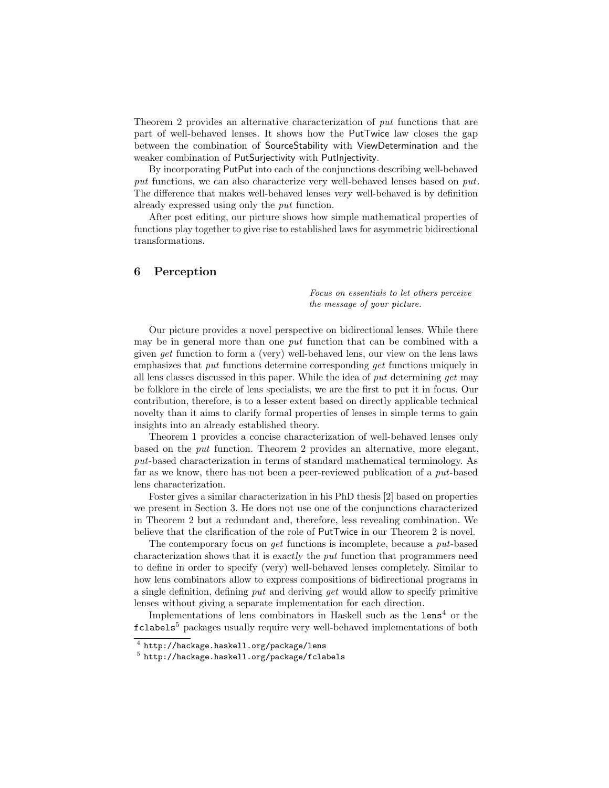Theorem [2](#page-6-0) provides an alternative characterization of put functions that are part of well-behaved lenses. It shows how the [PutTwice](#page-4-1) law closes the gap between the combination of [SourceStability](#page-3-0) with [ViewDetermination](#page-3-2) and the weaker combination of [PutSurjectivity](#page-3-1) with [PutInjectivity](#page-4-0).

By incorporating [PutPut](#page-1-3) into each of the conjunctions describing well-behaved put functions, we can also characterize very well-behaved lenses based on put. The difference that makes well-behaved lenses very well-behaved is by definition already expressed using only the put function.

After post editing, our picture shows how simple mathematical properties of functions play together to give rise to established laws for asymmetric bidirectional transformations.

#### 6 Perception

Focus on essentials to let others perceive the message of your picture.

Our picture provides a novel perspective on bidirectional lenses. While there may be in general more than one put function that can be combined with a given get function to form a (very) well-behaved lens, our view on the lens laws emphasizes that put functions determine corresponding get functions uniquely in all lens classes discussed in this paper. While the idea of  $put$  determining  $get$  may be folklore in the circle of lens specialists, we are the first to put it in focus. Our contribution, therefore, is to a lesser extent based on directly applicable technical novelty than it aims to clarify formal properties of lenses in simple terms to gain insights into an already established theory.

Theorem [1](#page-5-0) provides a concise characterization of well-behaved lenses only based on the put function. Theorem [2](#page-6-0) provides an alternative, more elegant, put-based characterization in terms of standard mathematical terminology. As far as we know, there has not been a peer-reviewed publication of a put-based lens characterization.

Foster gives a similar characterization in his PhD thesis [\[2\]](#page-8-2) based on properties we present in Section [3.](#page-3-3) He does not use one of the conjunctions characterized in Theorem [2](#page-6-0) but a redundant and, therefore, less revealing combination. We believe that the clarification of the role of [PutTwice](#page-4-1) in our Theorem [2](#page-6-0) is novel.

The contemporary focus on get functions is incomplete, because a put-based characterization shows that it is exactly the put function that programmers need to define in order to specify (very) well-behaved lenses completely. Similar to how lens combinators allow to express compositions of bidirectional programs in a single definition, defining put and deriving get would allow to specify primitive lenses without giving a separate implementation for each direction.

Implementations of lens combinators in Haskell such as the  $lens<sup>4</sup>$  $lens<sup>4</sup>$  $lens<sup>4</sup>$  or the  $f$ clabels<sup>[5](#page-7-1)</sup> packages usually require very well-behaved implementations of both

<span id="page-7-0"></span> $^4$  <http://hackage.haskell.org/package/lens>

<span id="page-7-1"></span> $^5$  <http://hackage.haskell.org/package/fclabels>